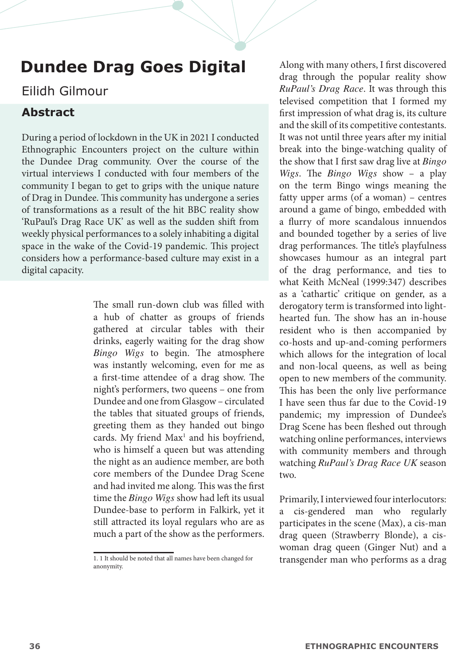# **Dundee Drag Goes Digital**

## Eilidh Gilmour

## **Abstract**

During a period of lockdown in the UK in 2021 I conducted Ethnographic Encounters project on the culture within the Dundee Drag community. Over the course of the virtual interviews I conducted with four members of the community I began to get to grips with the unique nature of Drag in Dundee. This community has undergone a series of transformations as a result of the hit BBC reality show 'RuPaul's Drag Race UK' as well as the sudden shift from weekly physical performances to a solely inhabiting a digital space in the wake of the Covid-19 pandemic. This project considers how a performance-based culture may exist in a digital capacity.

> The small run-down club was filled with a hub of chatter as groups of friends gathered at circular tables with their drinks, eagerly waiting for the drag show *Bingo Wigs* to begin. The atmosphere was instantly welcoming, even for me as a first-time attendee of a drag show. The night's performers, two queens – one from Dundee and one from Glasgow – circulated the tables that situated groups of friends, greeting them as they handed out bingo cards. My friend Max<sup>1</sup> and his boyfriend, who is himself a queen but was attending the night as an audience member, are both core members of the Dundee Drag Scene and had invited me along. This was the first time the *Bingo Wigs* show had left its usual Dundee-base to perform in Falkirk, yet it still attracted its loyal regulars who are as much a part of the show as the performers.

Along with many others, I first discovered drag through the popular reality show *RuPaul's Drag Race*. It was through this televised competition that I formed my first impression of what drag is, its culture and the skill of its competitive contestants. It was not until three years after my initial break into the binge-watching quality of the show that I first saw drag live at *Bingo Wigs*. The *Bingo Wigs* show – a play on the term Bingo wings meaning the fatty upper arms (of a woman) – centres around a game of bingo, embedded with a flurry of more scandalous innuendos and bounded together by a series of live drag performances. The title's playfulness showcases humour as an integral part of the drag performance, and ties to what Keith McNeal (1999:347) describes as a 'cathartic' critique on gender, as a derogatory term is transformed into lighthearted fun. The show has an in-house resident who is then accompanied by co-hosts and up-and-coming performers which allows for the integration of local and non-local queens, as well as being open to new members of the community. This has been the only live performance I have seen thus far due to the Covid-19 pandemic; my impression of Dundee's Drag Scene has been fleshed out through watching online performances, interviews with community members and through watching *RuPaul's Drag Race UK* season two.

Primarily, I interviewed four interlocutors: a cis-gendered man who regularly participates in the scene (Max), a cis-man drag queen (Strawberry Blonde), a ciswoman drag queen (Ginger Nut) and a transgender man who performs as a drag

<sup>1. 1</sup> It should be noted that all names have been changed for anonymity.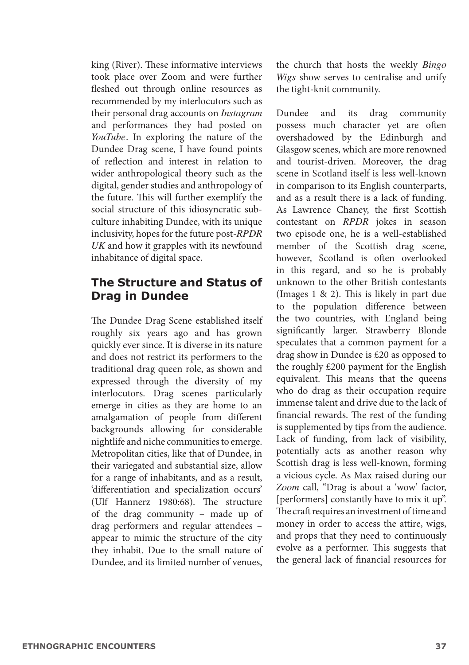king (River). These informative interviews took place over Zoom and were further fleshed out through online resources as recommended by my interlocutors such as their personal drag accounts on *Instagram*  and performances they had posted on *YouTube.* In exploring the nature of the Dundee Drag scene, I have found points of reflection and interest in relation to wider anthropological theory such as the digital, gender studies and anthropology of the future. This will further exemplify the social structure of this idiosyncratic subculture inhabiting Dundee, with its unique inclusivity, hopes for the future post-*RPDR UK* and how it grapples with its newfound inhabitance of digital space.

#### **The Structure and Status of Drag in Dundee**

The Dundee Drag Scene established itself roughly six years ago and has grown quickly ever since. It is diverse in its nature and does not restrict its performers to the traditional drag queen role, as shown and expressed through the diversity of my interlocutors. Drag scenes particularly emerge in cities as they are home to an amalgamation of people from different backgrounds allowing for considerable nightlife and niche communities to emerge. Metropolitan cities, like that of Dundee, in their variegated and substantial size, allow for a range of inhabitants, and as a result, 'differentiation and specialization occurs' (Ulf Hannerz 1980:68). The structure of the drag community – made up of drag performers and regular attendees – appear to mimic the structure of the city they inhabit. Due to the small nature of Dundee, and its limited number of venues,

the church that hosts the weekly *Bingo Wigs* show serves to centralise and unify the tight-knit community.

Dundee and its drag community possess much character yet are often overshadowed by the Edinburgh and Glasgow scenes, which are more renowned and tourist-driven. Moreover, the drag scene in Scotland itself is less well-known in comparison to its English counterparts, and as a result there is a lack of funding. As Lawrence Chaney, the first Scottish contestant on *RPDR* jokes in season two episode one, he is a well-established member of the Scottish drag scene, however, Scotland is often overlooked in this regard, and so he is probably unknown to the other British contestants (Images 1 & 2). This is likely in part due to the population difference between the two countries, with England being significantly larger. Strawberry Blonde speculates that a common payment for a drag show in Dundee is £20 as opposed to the roughly £200 payment for the English equivalent. This means that the queens who do drag as their occupation require immense talent and drive due to the lack of financial rewards. The rest of the funding is supplemented by tips from the audience. Lack of funding, from lack of visibility, potentially acts as another reason why Scottish drag is less well-known, forming a vicious cycle. As Max raised during our *Zoom* call, "Drag is about a 'wow' factor, [performers] constantly have to mix it up". The craft requires an investment of time and money in order to access the attire, wigs, and props that they need to continuously evolve as a performer. This suggests that the general lack of financial resources for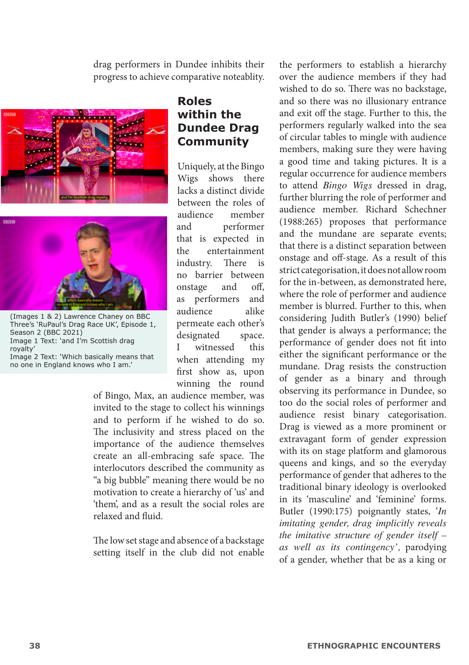drag performers in Dundee inhibits their progress to achieve comparative noteablity.





(Images 1 & 2) Lawrence Chaney on BBC Three's 'RuPaul's Drag Race UK', Episode 1, Season 2 (BBC 2021) Image 1 Text: 'and I'm Scottish drag royalty' Image 2 Text: 'Which basically means that no one in England knows who I am.'

#### **Roles within the Dundee Drag Community**

Uniquely, at the Bingo Wigs shows there lacks a distinct divide between the roles of<br>audience member audience and performer that is expected in the entertainment industry. There is no barrier between onstage and off, as performers and<br>audience alike audience permeate each other's designated space. I witnessed this when attending my first show as, upon winning the round

of Bingo, Max, an audience member, was invited to the stage to collect his winnings and to perform if he wished to do so. The inclusivity and stress placed on the importance of the audience themselves create an all-embracing safe space. The interlocutors described the community as "a big bubble" meaning there would be no motivation to create a hierarchy of 'us' and 'them', and as a result the social roles are relaxed and fluid.

The low set stage and absence of a backstage setting itself in the club did not enable

the performers to establish a hierarchy over the audience members if they had wished to do so. There was no backstage, and so there was no illusionary entrance and exit off the stage. Further to this, the performers regularly walked into the sea of circular tables to mingle with audience members, making sure they were having a good time and taking pictures. It is a regular occurrence for audience members to attend *Bingo Wigs* dressed in drag, further blurring the role of performer and audience member. Richard Schechner (1988:265) proposes that performance and the mundane are separate events; that there is a distinct separation between onstage and off-stage. As a result of this strict categorisation, it does not allow room for the in-between, as demonstrated here, where the role of performer and audience member is blurred. Further to this, when considering Judith Butler's (1990) belief that gender is always a performance; the performance of gender does not fit into either the significant performance or the mundane. Drag resists the construction of gender as a binary and through observing its performance in Dundee, so too do the social roles of performer and audience resist binary categorisation. Drag is viewed as a more prominent or extravagant form of gender expression with its on stage platform and glamorous queens and kings, and so the everyday performance of gender that adheres to the traditional binary ideology is overlooked in its 'masculine' and 'feminine' forms. Butler (1990:175) poignantly states, '*In imitating gender, drag implicitly reveals the imitative structure of gender itself – as well as its contingency',* parodying of a gender, whether that be as a king or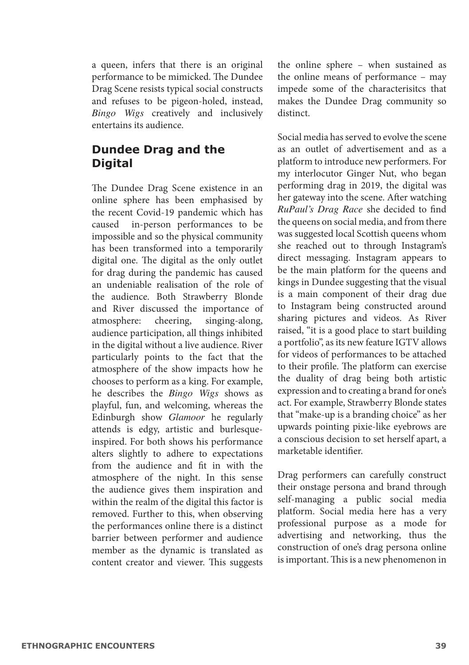a queen, infers that there is an original performance to be mimicked. The Dundee Drag Scene resists typical social constructs and refuses to be pigeon-holed, instead, *Bingo Wigs* creatively and inclusively entertains its audience.

## **Dundee Drag and the Digital**

The Dundee Drag Scene existence in an online sphere has been emphasised by the recent Covid-19 pandemic which has<br>caused in-person performances to be in-person performances to be impossible and so the physical community has been transformed into a temporarily digital one. The digital as the only outlet for drag during the pandemic has caused an undeniable realisation of the role of the audience. Both Strawberry Blonde and River discussed the importance of atmosphere: cheering, singing-along, singing-along, audience participation, all things inhibited in the digital without a live audience. River particularly points to the fact that the atmosphere of the show impacts how he chooses to perform as a king. For example, he describes the *Bingo Wigs* shows as playful, fun, and welcoming, whereas the Edinburgh show *Glamoor* he regularly attends is edgy, artistic and burlesqueinspired. For both shows his performance alters slightly to adhere to expectations from the audience and fit in with the atmosphere of the night. In this sense the audience gives them inspiration and within the realm of the digital this factor is removed. Further to this, when observing the performances online there is a distinct barrier between performer and audience member as the dynamic is translated as content creator and viewer. This suggests the online sphere – when sustained as the online means of performance – may impede some of the characterisitcs that makes the Dundee Drag community so distinct.

Social media has served to evolve the scene as an outlet of advertisement and as a platform to introduce new performers. For my interlocutor Ginger Nut, who began performing drag in 2019, the digital was her gateway into the scene. After watching *RuPaul's Drag Race* she decided to find the queens on social media, and from there was suggested local Scottish queens whom she reached out to through Instagram's direct messaging. Instagram appears to be the main platform for the queens and  $\frac{1}{\text{1}}$  kings in Dundee suggesting that the visual is a main component of their drag due to Instagram being constructed around sharing pictures and videos. As River raised, "it is a good place to start building a portfolio", as its new feature IGTV allows for videos of performances to be attached to their profile. The platform can exercise the duality of drag being both artistic expression and to creating a brand for one's act. For example, Strawberry Blonde states that "make-up is a branding choice" as her upwards pointing pixie-like eyebrows are a conscious decision to set herself apart, a marketable identifier.

Drag performers can carefully construct their onstage persona and brand through self-managing a public social media platform. Social media here has a very professional purpose as a mode for advertising and networking, thus the construction of one's drag persona online is important. This is a new phenomenon in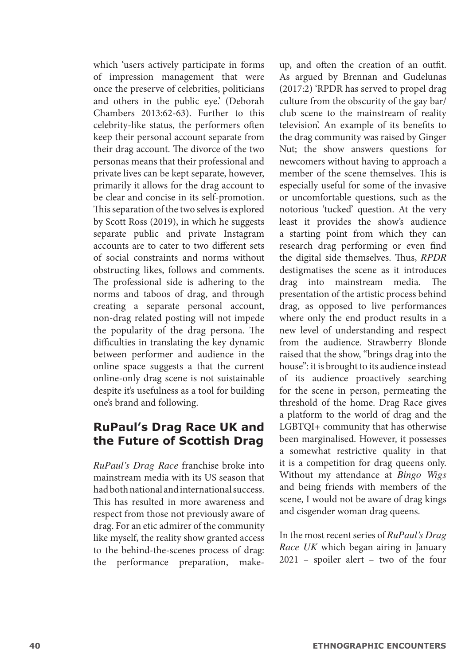which 'users actively participate in forms of impression management that were once the preserve of celebrities, politicians and others in the public eye.' (Deborah Chambers 2013:62-63). Further to this celebrity-like status, the performers often keep their personal account separate from their drag account. The divorce of the two personas means that their professional and private lives can be kept separate, however, primarily it allows for the drag account to be clear and concise in its self-promotion. This separation of the two selves is explored by Scott Ross (2019), in which he suggests separate public and private Instagram accounts are to cater to two different sets of social constraints and norms without obstructing likes, follows and comments. The professional side is adhering to the norms and taboos of drag, and through creating a separate personal account, non-drag related posting will not impede the popularity of the drag persona. The difficulties in translating the key dynamic between performer and audience in the online space suggests a that the current online-only drag scene is not suistainable despite it's usefulness as a tool for building one's brand and following.

#### **RuPaul's Drag Race UK and the Future of Scottish Drag**

*RuPaul's Drag Race* franchise broke into mainstream media with its US season that had both national and international success. This has resulted in more awareness and respect from those not previously aware of drag. For an etic admirer of the community like myself, the reality show granted access to the behind-the-scenes process of drag: the performance preparation, make-

up, and often the creation of an outfit. As argued by Brennan and Gudelunas (2017:2) 'RPDR has served to propel drag culture from the obscurity of the gay bar/ club scene to the mainstream of reality television'. An example of its benefits to the drag community was raised by Ginger Nut; the show answers questions for newcomers without having to approach a member of the scene themselves. This is especially useful for some of the invasive or uncomfortable questions, such as the notorious 'tucked' question. At the very least it provides the show's audience a starting point from which they can research drag performing or even find the digital side themselves. Thus, *RPDR*  destigmatises the scene as it introduces drag into mainstream media. The presentation of the artistic process behind drag, as opposed to live performances where only the end product results in a new level of understanding and respect from the audience. Strawberry Blonde raised that the show, "brings drag into the house": it is brought to its audience instead of its audience proactively searching for the scene in person, permeating the threshold of the home. Drag Race gives a platform to the world of drag and the LGBTQI+ community that has otherwise been marginalised. However, it possesses a somewhat restrictive quality in that it is a competition for drag queens only. Without my attendance at *Bingo Wigs*  and being friends with members of the scene, I would not be aware of drag kings and cisgender woman drag queens.

In the most recent series of *RuPaul's Drag Race UK* which began airing in January 2021 – spoiler alert – two of the four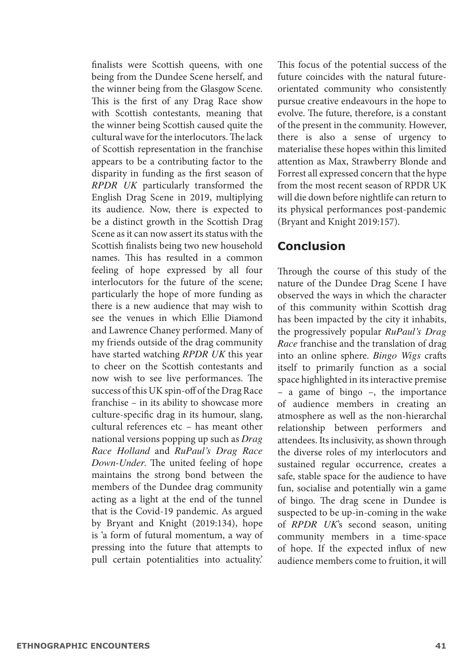finalists were Scottish queens, with one being from the Dundee Scene herself, and the winner being from the Glasgow Scene. This is the first of any Drag Race show with Scottish contestants, meaning that the winner being Scottish caused quite the cultural wave for the interlocutors. The lack of Scottish representation in the franchise appears to be a contributing factor to the disparity in funding as the first season of *RPDR UK* particularly transformed the English Drag Scene in 2019, multiplying its audience. Now, there is expected to be a distinct growth in the Scottish Drag Scene as it can now assert its status with the Scottish finalists being two new household names. This has resulted in a common feeling of hope expressed by all four interlocutors for the future of the scene; particularly the hope of more funding as there is a new audience that may wish to see the venues in which Ellie Diamond and Lawrence Chaney performed. Many of my friends outside of the drag community have started watching *RPDR UK* this year to cheer on the Scottish contestants and now wish to see live performances. The success of this UK spin-off of the Drag Race franchise – in its ability to showcase more culture-specific drag in its humour, slang, cultural references etc – has meant other national versions popping up such as *Drag Race Holland* and *RuPaul's Drag Race Down-Under.* The united feeling of hope maintains the strong bond between the members of the Dundee drag community acting as a light at the end of the tunnel that is the Covid-19 pandemic. As argued by Bryant and Knight (2019:134), hope is 'a form of futural momentum, a way of pressing into the future that attempts to pull certain potentialities into actuality.'

This focus of the potential success of the future coincides with the natural futureorientated community who consistently pursue creative endeavours in the hope to evolve. The future, therefore, is a constant of the present in the community. However, there is also a sense of urgency to materialise these hopes within this limited attention as Max, Strawberry Blonde and Forrest all expressed concern that the hype from the most recent season of RPDR UK will die down before nightlife can return to its physical performances post-pandemic (Bryant and Knight 2019:157).

#### **Conclusion**

Through the course of this study of the nature of the Dundee Drag Scene I have observed the ways in which the character of this community within Scottish drag has been impacted by the city it inhabits, the progressively popular *RuPaul's Drag Race* franchise and the translation of drag into an online sphere. *Bingo Wigs* crafts itself to primarily function as a social space highlighted in its interactive premise – a game of bingo –, the importance of audience members in creating an atmosphere as well as the non-hierarchal relationship between performers and attendees. Its inclusivity, as shown through the diverse roles of my interlocutors and sustained regular occurrence, creates a safe, stable space for the audience to have fun, socialise and potentially win a game of bingo. The drag scene in Dundee is suspected to be up-in-coming in the wake of *RPDR UK*'s second season, uniting community members in a time-space of hope. If the expected influx of new audience members come to fruition, it will